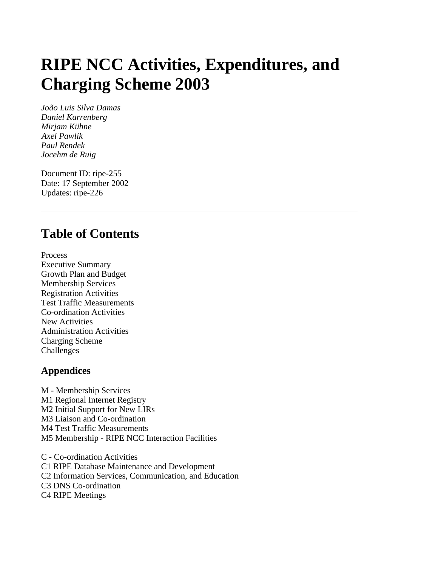# **RIPE NCC Activities, Expenditures, and Charging Scheme 2003**

*João Luis Silva Damas Daniel Karrenberg Mirjam Kühne Axel Pawlik Paul Rendek Jocehm de Ruig*

Document ID: ripe-255 Date: 17 September 2002 Updates: ripe-226

## **Table of Contents**

Process Executive Summary Growth Plan and Budget Membership Services Registration Activities Test Traffic Measurements Co-ordination Activities New Activities Administration Activities Charging Scheme Challenges

#### **Appendices**

M - Membership Services M1 Regional Internet Registry M2 Initial Support for New LIRs M3 Liaison and Co-ordination M4 Test Traffic Measurements M5 Membership - RIPE NCC Interaction Facilities

C - Co-ordination Activities C1 RIPE Database Maintenance and Development C2 Information Services, Communication, and Education C3 DNS Co-ordination C4 RIPE Meetings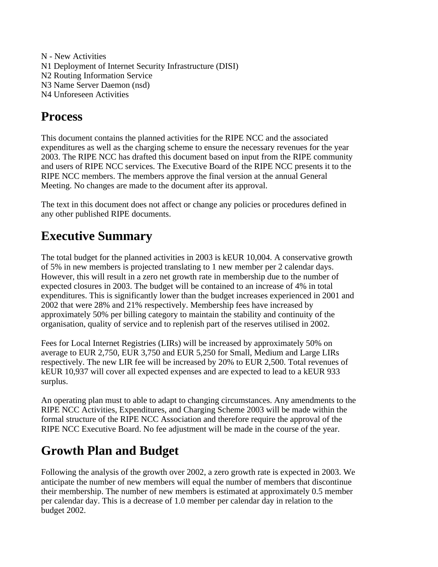N - New Activities N1 Deployment of Internet Security Infrastructure (DISI) N2 Routing Information Service N3 Name Server Daemon (nsd) N4 Unforeseen Activities

## **Process**

This document contains the planned activities for the RIPE NCC and the associated expenditures as well as the charging scheme to ensure the necessary revenues for the year 2003. The RIPE NCC has drafted this document based on input from the RIPE community and users of RIPE NCC services. The Executive Board of the RIPE NCC presents it to the RIPE NCC members. The members approve the final version at the annual General Meeting. No changes are made to the document after its approval.

The text in this document does not affect or change any policies or procedures defined in any other published RIPE documents.

## **Executive Summary**

The total budget for the planned activities in 2003 is kEUR 10,004. A conservative growth of 5% in new members is projected translating to 1 new member per 2 calendar days. However, this will result in a zero net growth rate in membership due to the number of expected closures in 2003. The budget will be contained to an increase of 4% in total expenditures. This is significantly lower than the budget increases experienced in 2001 and 2002 that were 28% and 21% respectively. Membership fees have increased by approximately 50% per billing category to maintain the stability and continuity of the organisation, quality of service and to replenish part of the reserves utilised in 2002.

Fees for Local Internet Registries (LIRs) will be increased by approximately 50% on average to EUR 2,750, EUR 3,750 and EUR 5,250 for Small, Medium and Large LIRs respectively. The new LIR fee will be increased by 20% to EUR 2,500. Total revenues of kEUR 10,937 will cover all expected expenses and are expected to lead to a kEUR 933 surplus.

An operating plan must to able to adapt to changing circumstances. Any amendments to the RIPE NCC Activities, Expenditures, and Charging Scheme 2003 will be made within the formal structure of the RIPE NCC Association and therefore require the approval of the RIPE NCC Executive Board. No fee adjustment will be made in the course of the year.

## **Growth Plan and Budget**

Following the analysis of the growth over 2002, a zero growth rate is expected in 2003. We anticipate the number of new members will equal the number of members that discontinue their membership. The number of new members is estimated at approximately 0.5 member per calendar day. This is a decrease of 1.0 member per calendar day in relation to the budget 2002.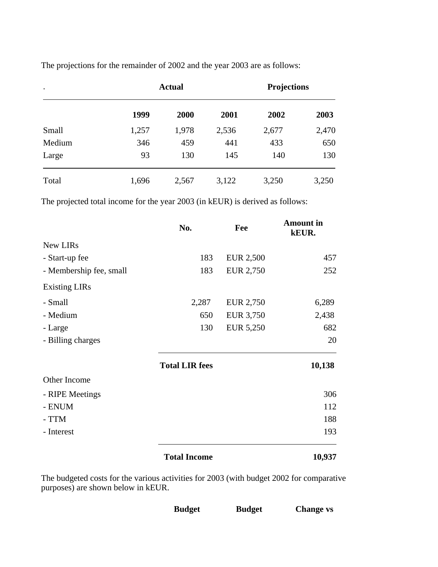| $\bullet$ | <b>Actual</b> |       |       | <b>Projections</b> |       |
|-----------|---------------|-------|-------|--------------------|-------|
|           | 1999          | 2000  | 2001  | 2002               | 2003  |
| Small     | 1,257         | 1,978 | 2,536 | 2,677              | 2,470 |
| Medium    | 346           | 459   | 441   | 433                | 650   |
| Large     | 93            | 130   | 145   | 140                | 130   |
| Total     | 1,696         | 2,567 | 3,122 | 3,250              | 3,250 |

The projections for the remainder of 2002 and the year 2003 are as follows:

The projected total income for the year 2003 (in kEUR) is derived as follows:

|                         | No.                   | Fee              | <b>Amount in</b><br>kEUR. |
|-------------------------|-----------------------|------------------|---------------------------|
| New LIRs                |                       |                  |                           |
| - Start-up fee          | 183                   | <b>EUR 2,500</b> | 457                       |
| - Membership fee, small | 183                   | <b>EUR 2,750</b> | 252                       |
| <b>Existing LIRs</b>    |                       |                  |                           |
| - Small                 | 2,287                 | EUR 2,750        | 6,289                     |
| - Medium                | 650                   | EUR 3,750        | 2,438                     |
| - Large                 | 130                   | EUR 5,250        | 682                       |
| - Billing charges       |                       |                  | 20                        |
|                         | <b>Total LIR fees</b> |                  | 10,138                    |
| Other Income            |                       |                  |                           |
| - RIPE Meetings         |                       |                  | 306                       |
| - ENUM                  |                       |                  | 112                       |
| - TTM                   |                       |                  | 188                       |
| - Interest              |                       |                  | 193                       |
|                         | <b>Total Income</b>   |                  | 10,937                    |

The budgeted costs for the various activities for 2003 (with budget 2002 for comparative purposes) are shown below in kEUR.

| <b>Budget</b> | <b>Budget</b> | <b>Change vs</b> |
|---------------|---------------|------------------|
|               |               |                  |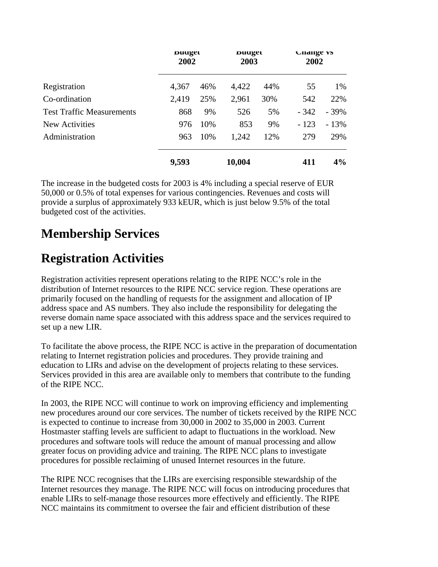|                                  | Duuget<br>2002 |     | Duuget<br>2003 |     | <b>Unange vs</b><br>2002 |        |
|----------------------------------|----------------|-----|----------------|-----|--------------------------|--------|
| Registration                     | 4,367          | 46% | 4,422          | 44% | 55                       | 1%     |
| Co-ordination                    | 2,419          | 25% | 2,961          | 30% | 542                      | 22%    |
| <b>Test Traffic Measurements</b> | 868            | 9%  | 526            | 5%  | $-342$                   | $-39%$ |
| New Activities                   | 976            | 10% | 853            | 9%  | $-123$                   | $-13%$ |
| Administration                   | 963            | 10% | 1,242          | 12% | 279                      | 29%    |
|                                  | 9,593          |     | 10,004         |     | 411                      | 4%     |

The increase in the budgeted costs for 2003 is 4% including a special reserve of EUR 50,000 or 0.5% of total expenses for various contingencies. Revenues and costs will provide a surplus of approximately 933 kEUR, which is just below 9.5% of the total budgeted cost of the activities.

## **Membership Services**

## **Registration Activities**

Registration activities represent operations relating to the RIPE NCC's role in the distribution of Internet resources to the RIPE NCC service region. These operations are primarily focused on the handling of requests for the assignment and allocation of IP address space and AS numbers. They also include the responsibility for delegating the reverse domain name space associated with this address space and the services required to set up a new LIR.

To facilitate the above process, the RIPE NCC is active in the preparation of documentation relating to Internet registration policies and procedures. They provide training and education to LIRs and advise on the development of projects relating to these services. Services provided in this area are available only to members that contribute to the funding of the RIPE NCC.

In 2003, the RIPE NCC will continue to work on improving efficiency and implementing new procedures around our core services. The number of tickets received by the RIPE NCC is expected to continue to increase from 30,000 in 2002 to 35,000 in 2003. Current Hostmaster staffing levels are sufficient to adapt to fluctuations in the workload. New procedures and software tools will reduce the amount of manual processing and allow greater focus on providing advice and training. The RIPE NCC plans to investigate procedures for possible reclaiming of unused Internet resources in the future.

The RIPE NCC recognises that the LIRs are exercising responsible stewardship of the Internet resources they manage. The RIPE NCC will focus on introducing procedures that enable LIRs to self-manage those resources more effectively and efficiently. The RIPE NCC maintains its commitment to oversee the fair and efficient distribution of these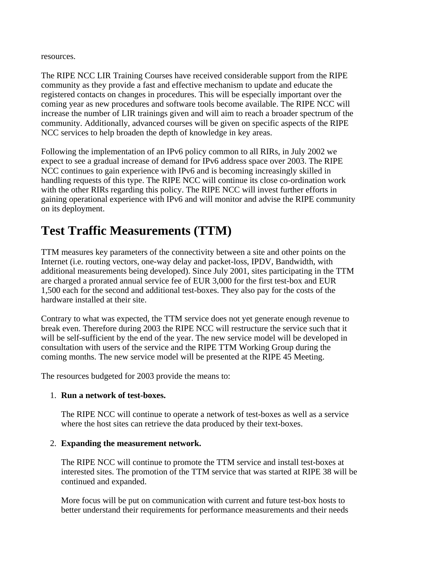resources.

The RIPE NCC LIR Training Courses have received considerable support from the RIPE community as they provide a fast and effective mechanism to update and educate the registered contacts on changes in procedures. This will be especially important over the coming year as new procedures and software tools become available. The RIPE NCC will increase the number of LIR trainings given and will aim to reach a broader spectrum of the community. Additionally, advanced courses will be given on specific aspects of the RIPE NCC services to help broaden the depth of knowledge in key areas.

Following the implementation of an IPv6 policy common to all RIRs, in July 2002 we expect to see a gradual increase of demand for IPv6 address space over 2003. The RIPE NCC continues to gain experience with IPv6 and is becoming increasingly skilled in handling requests of this type. The RIPE NCC will continue its close co-ordination work with the other RIRs regarding this policy. The RIPE NCC will invest further efforts in gaining operational experience with IPv6 and will monitor and advise the RIPE community on its deployment.

## **Test Traffic Measurements (TTM)**

TTM measures key parameters of the connectivity between a site and other points on the Internet (i.e. routing vectors, one-way delay and packet-loss, IPDV, Bandwidth, with additional measurements being developed). Since July 2001, sites participating in the TTM are charged a prorated annual service fee of EUR 3,000 for the first test-box and EUR 1,500 each for the second and additional test-boxes. They also pay for the costs of the hardware installed at their site.

Contrary to what was expected, the TTM service does not yet generate enough revenue to break even. Therefore during 2003 the RIPE NCC will restructure the service such that it will be self-sufficient by the end of the year. The new service model will be developed in consultation with users of the service and the RIPE TTM Working Group during the coming months. The new service model will be presented at the RIPE 45 Meeting.

The resources budgeted for 2003 provide the means to:

#### 1. **Run a network of test-boxes.**

The RIPE NCC will continue to operate a network of test-boxes as well as a service where the host sites can retrieve the data produced by their text-boxes.

#### 2. **Expanding the measurement network.**

The RIPE NCC will continue to promote the TTM service and install test-boxes at interested sites. The promotion of the TTM service that was started at RIPE 38 will be continued and expanded.

More focus will be put on communication with current and future test-box hosts to better understand their requirements for performance measurements and their needs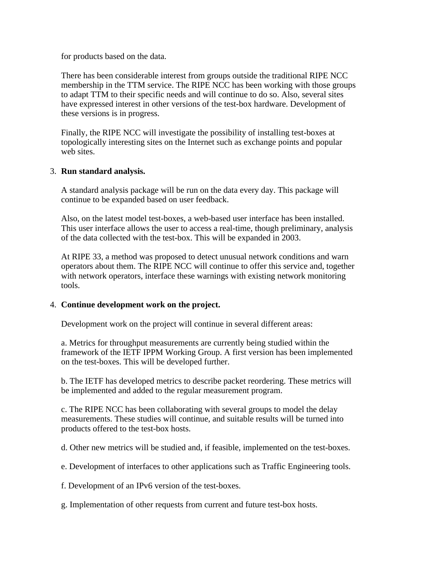for products based on the data.

There has been considerable interest from groups outside the traditional RIPE NCC membership in the TTM service. The RIPE NCC has been working with those groups to adapt TTM to their specific needs and will continue to do so. Also, several sites have expressed interest in other versions of the test-box hardware. Development of these versions is in progress.

Finally, the RIPE NCC will investigate the possibility of installing test-boxes at topologically interesting sites on the Internet such as exchange points and popular web sites.

#### 3. **Run standard analysis.**

A standard analysis package will be run on the data every day. This package will continue to be expanded based on user feedback.

Also, on the latest model test-boxes, a web-based user interface has been installed. This user interface allows the user to access a real-time, though preliminary, analysis of the data collected with the test-box. This will be expanded in 2003.

At RIPE 33, a method was proposed to detect unusual network conditions and warn operators about them. The RIPE NCC will continue to offer this service and, together with network operators, interface these warnings with existing network monitoring tools.

#### 4. **Continue development work on the project.**

Development work on the project will continue in several different areas:

a. Metrics for throughput measurements are currently being studied within the framework of the IETF IPPM Working Group. A first version has been implemented on the test-boxes. This will be developed further.

b. The IETF has developed metrics to describe packet reordering. These metrics will be implemented and added to the regular measurement program.

c. The RIPE NCC has been collaborating with several groups to model the delay measurements. These studies will continue, and suitable results will be turned into products offered to the test-box hosts.

d. Other new metrics will be studied and, if feasible, implemented on the test-boxes.

e. Development of interfaces to other applications such as Traffic Engineering tools.

f. Development of an IPv6 version of the test-boxes.

g. Implementation of other requests from current and future test-box hosts.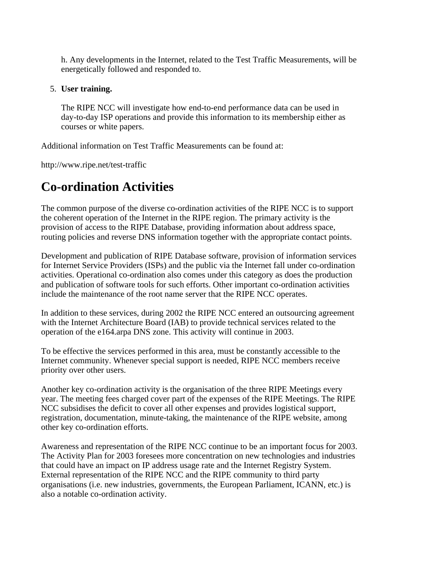h. Any developments in the Internet, related to the Test Traffic Measurements, will be energetically followed and responded to.

#### 5. **User training.**

The RIPE NCC will investigate how end-to-end performance data can be used in day-to-day ISP operations and provide this information to its membership either as courses or white papers.

Additional information on Test Traffic Measurements can be found at:

http://www.ripe.net/test-traffic

## **Co-ordination Activities**

The common purpose of the diverse co-ordination activities of the RIPE NCC is to support the coherent operation of the Internet in the RIPE region. The primary activity is the provision of access to the RIPE Database, providing information about address space, routing policies and reverse DNS information together with the appropriate contact points.

Development and publication of RIPE Database software, provision of information services for Internet Service Providers (ISPs) and the public via the Internet fall under co-ordination activities. Operational co-ordination also comes under this category as does the production and publication of software tools for such efforts. Other important co-ordination activities include the maintenance of the root name server that the RIPE NCC operates.

In addition to these services, during 2002 the RIPE NCC entered an outsourcing agreement with the Internet Architecture Board (IAB) to provide technical services related to the operation of the e164.arpa DNS zone. This activity will continue in 2003.

To be effective the services performed in this area, must be constantly accessible to the Internet community. Whenever special support is needed, RIPE NCC members receive priority over other users.

Another key co-ordination activity is the organisation of the three RIPE Meetings every year. The meeting fees charged cover part of the expenses of the RIPE Meetings. The RIPE NCC subsidises the deficit to cover all other expenses and provides logistical support, registration, documentation, minute-taking, the maintenance of the RIPE website, among other key co-ordination efforts.

Awareness and representation of the RIPE NCC continue to be an important focus for 2003. The Activity Plan for 2003 foresees more concentration on new technologies and industries that could have an impact on IP address usage rate and the Internet Registry System. External representation of the RIPE NCC and the RIPE community to third party organisations (i.e. new industries, governments, the European Parliament, ICANN, etc.) is also a notable co-ordination activity.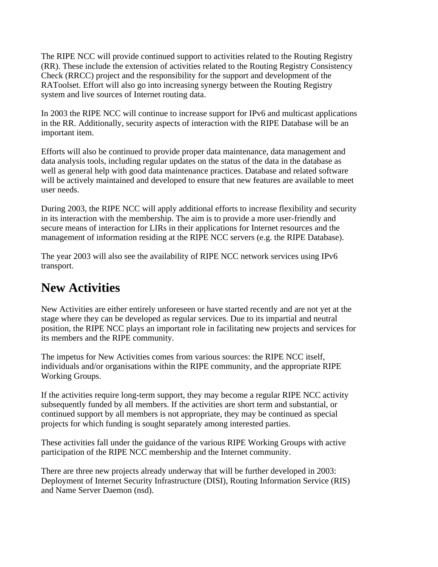The RIPE NCC will provide continued support to activities related to the Routing Registry (RR). These include the extension of activities related to the Routing Registry Consistency Check (RRCC) project and the responsibility for the support and development of the RAToolset. Effort will also go into increasing synergy between the Routing Registry system and live sources of Internet routing data.

In 2003 the RIPE NCC will continue to increase support for IPv6 and multicast applications in the RR. Additionally, security aspects of interaction with the RIPE Database will be an important item.

Efforts will also be continued to provide proper data maintenance, data management and data analysis tools, including regular updates on the status of the data in the database as well as general help with good data maintenance practices. Database and related software will be actively maintained and developed to ensure that new features are available to meet user needs.

During 2003, the RIPE NCC will apply additional efforts to increase flexibility and security in its interaction with the membership. The aim is to provide a more user-friendly and secure means of interaction for LIRs in their applications for Internet resources and the management of information residing at the RIPE NCC servers (e.g. the RIPE Database).

The year 2003 will also see the availability of RIPE NCC network services using IPv6 transport.

## **New Activities**

New Activities are either entirely unforeseen or have started recently and are not yet at the stage where they can be developed as regular services. Due to its impartial and neutral position, the RIPE NCC plays an important role in facilitating new projects and services for its members and the RIPE community.

The impetus for New Activities comes from various sources: the RIPE NCC itself, individuals and/or organisations within the RIPE community, and the appropriate RIPE Working Groups.

If the activities require long-term support, they may become a regular RIPE NCC activity subsequently funded by all members. If the activities are short term and substantial, or continued support by all members is not appropriate, they may be continued as special projects for which funding is sought separately among interested parties.

These activities fall under the guidance of the various RIPE Working Groups with active participation of the RIPE NCC membership and the Internet community.

There are three new projects already underway that will be further developed in 2003: Deployment of Internet Security Infrastructure (DISI), Routing Information Service (RIS) and Name Server Daemon (nsd).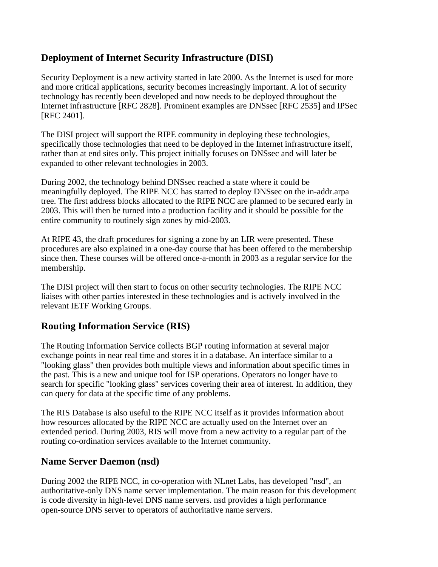## **Deployment of Internet Security Infrastructure (DISI)**

Security Deployment is a new activity started in late 2000. As the Internet is used for more and more critical applications, security becomes increasingly important. A lot of security technology has recently been developed and now needs to be deployed throughout the Internet infrastructure [RFC 2828]. Prominent examples are DNSsec [RFC 2535] and IPSec [RFC 2401].

The DISI project will support the RIPE community in deploying these technologies, specifically those technologies that need to be deployed in the Internet infrastructure itself, rather than at end sites only. This project initially focuses on DNSsec and will later be expanded to other relevant technologies in 2003.

During 2002, the technology behind DNSsec reached a state where it could be meaningfully deployed. The RIPE NCC has started to deploy DNSsec on the in-addr.arpa tree. The first address blocks allocated to the RIPE NCC are planned to be secured early in 2003. This will then be turned into a production facility and it should be possible for the entire community to routinely sign zones by mid-2003.

At RIPE 43, the draft procedures for signing a zone by an LIR were presented. These procedures are also explained in a one-day course that has been offered to the membership since then. These courses will be offered once-a-month in 2003 as a regular service for the membership.

The DISI project will then start to focus on other security technologies. The RIPE NCC liaises with other parties interested in these technologies and is actively involved in the relevant IETF Working Groups.

## **Routing Information Service (RIS)**

The Routing Information Service collects BGP routing information at several major exchange points in near real time and stores it in a database. An interface similar to a "looking glass" then provides both multiple views and information about specific times in the past. This is a new and unique tool for ISP operations. Operators no longer have to search for specific "looking glass" services covering their area of interest. In addition, they can query for data at the specific time of any problems.

The RIS Database is also useful to the RIPE NCC itself as it provides information about how resources allocated by the RIPE NCC are actually used on the Internet over an extended period. During 2003, RIS will move from a new activity to a regular part of the routing co-ordination services available to the Internet community.

#### **Name Server Daemon (nsd)**

During 2002 the RIPE NCC, in co-operation with NLnet Labs, has developed "nsd", an authoritative-only DNS name server implementation. The main reason for this development is code diversity in high-level DNS name servers. nsd provides a high performance open-source DNS server to operators of authoritative name servers.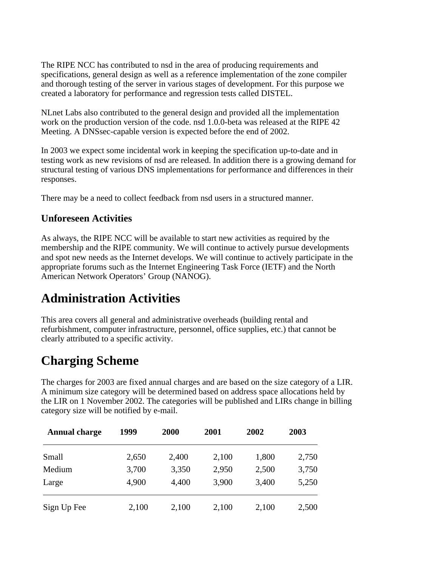The RIPE NCC has contributed to nsd in the area of producing requirements and specifications, general design as well as a reference implementation of the zone compiler and thorough testing of the server in various stages of development. For this purpose we created a laboratory for performance and regression tests called DISTEL.

NLnet Labs also contributed to the general design and provided all the implementation work on the production version of the code. nsd 1.0.0-beta was released at the RIPE 42 Meeting. A DNSsec-capable version is expected before the end of 2002.

In 2003 we expect some incidental work in keeping the specification up-to-date and in testing work as new revisions of nsd are released. In addition there is a growing demand for structural testing of various DNS implementations for performance and differences in their responses.

There may be a need to collect feedback from nsd users in a structured manner.

### **Unforeseen Activities**

As always, the RIPE NCC will be available to start new activities as required by the membership and the RIPE community. We will continue to actively pursue developments and spot new needs as the Internet develops. We will continue to actively participate in the appropriate forums such as the Internet Engineering Task Force (IETF) and the North American Network Operators' Group (NANOG).

## **Administration Activities**

This area covers all general and administrative overheads (building rental and refurbishment, computer infrastructure, personnel, office supplies, etc.) that cannot be clearly attributed to a specific activity.

## **Charging Scheme**

The charges for 2003 are fixed annual charges and are based on the size category of a LIR. A minimum size category will be determined based on address space allocations held by the LIR on 1 November 2002. The categories will be published and LIRs change in billing category size will be notified by e-mail.

| <b>Annual charge</b> | 1999  | 2000  | 2001  | 2002  | 2003  |
|----------------------|-------|-------|-------|-------|-------|
| Small                | 2,650 | 2,400 | 2,100 | 1,800 | 2,750 |
| Medium               | 3,700 | 3,350 | 2,950 | 2,500 | 3,750 |
| Large                | 4,900 | 4,400 | 3,900 | 3,400 | 5,250 |
| Sign Up Fee          | 2,100 | 2,100 | 2,100 | 2,100 | 2,500 |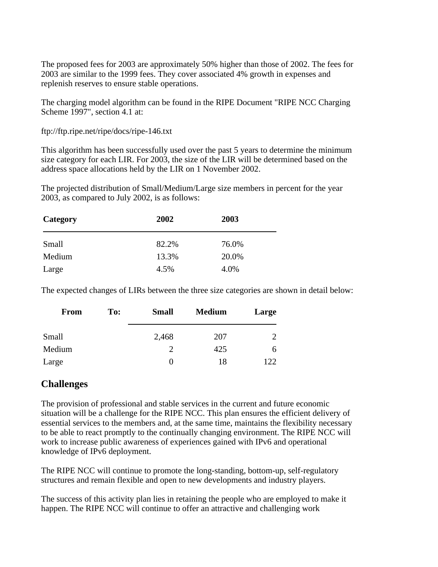The proposed fees for 2003 are approximately 50% higher than those of 2002. The fees for 2003 are similar to the 1999 fees. They cover associated 4% growth in expenses and replenish reserves to ensure stable operations.

The charging model algorithm can be found in the RIPE Document "RIPE NCC Charging Scheme 1997", section 4.1 at:

ftp://ftp.ripe.net/ripe/docs/ripe-146.txt

This algorithm has been successfully used over the past 5 years to determine the minimum size category for each LIR. For 2003, the size of the LIR will be determined based on the address space allocations held by the LIR on 1 November 2002.

The projected distribution of Small/Medium/Large size members in percent for the year 2003, as compared to July 2002, is as follows:

| Category | 2002  | 2003  |  |
|----------|-------|-------|--|
| Small    | 82.2% | 76.0% |  |
| Medium   | 13.3% | 20.0% |  |
| Large    | 4.5%  | 4.0%  |  |

The expected changes of LIRs between the three size categories are shown in detail below:

| <b>From</b> | To: | <b>Small</b> | <b>Medium</b> | Large |  |
|-------------|-----|--------------|---------------|-------|--|
|             |     |              |               |       |  |
| Small       |     | 2,468        | 207           | 2     |  |
| Medium      |     |              | 425           | h     |  |
| Large       |     | 0            | 18            | 122   |  |

#### **Challenges**

The provision of professional and stable services in the current and future economic situation will be a challenge for the RIPE NCC. This plan ensures the efficient delivery of essential services to the members and, at the same time, maintains the flexibility necessary to be able to react promptly to the continually changing environment. The RIPE NCC will work to increase public awareness of experiences gained with IPv6 and operational knowledge of IPv6 deployment.

The RIPE NCC will continue to promote the long-standing, bottom-up, self-regulatory structures and remain flexible and open to new developments and industry players.

The success of this activity plan lies in retaining the people who are employed to make it happen. The RIPE NCC will continue to offer an attractive and challenging work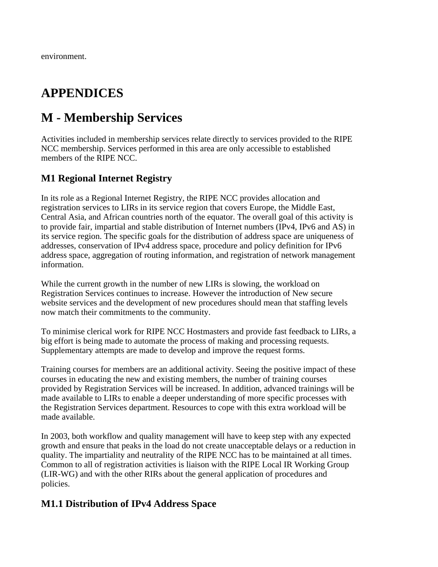## **APPENDICES**

## **M - Membership Services**

Activities included in membership services relate directly to services provided to the RIPE NCC membership. Services performed in this area are only accessible to established members of the RIPE NCC.

## **M1 Regional Internet Registry**

In its role as a Regional Internet Registry, the RIPE NCC provides allocation and registration services to LIRs in its service region that covers Europe, the Middle East, Central Asia, and African countries north of the equator. The overall goal of this activity is to provide fair, impartial and stable distribution of Internet numbers (IPv4, IPv6 and AS) in its service region. The specific goals for the distribution of address space are uniqueness of addresses, conservation of IPv4 address space, procedure and policy definition for IPv6 address space, aggregation of routing information, and registration of network management information.

While the current growth in the number of new LIRs is slowing, the workload on Registration Services continues to increase. However the introduction of New secure website services and the development of new procedures should mean that staffing levels now match their commitments to the community.

To minimise clerical work for RIPE NCC Hostmasters and provide fast feedback to LIRs, a big effort is being made to automate the process of making and processing requests. Supplementary attempts are made to develop and improve the request forms.

Training courses for members are an additional activity. Seeing the positive impact of these courses in educating the new and existing members, the number of training courses provided by Registration Services will be increased. In addition, advanced trainings will be made available to LIRs to enable a deeper understanding of more specific processes with the Registration Services department. Resources to cope with this extra workload will be made available.

In 2003, both workflow and quality management will have to keep step with any expected growth and ensure that peaks in the load do not create unacceptable delays or a reduction in quality. The impartiality and neutrality of the RIPE NCC has to be maintained at all times. Common to all of registration activities is liaison with the RIPE Local IR Working Group (LIR-WG) and with the other RIRs about the general application of procedures and policies.

#### **M1.1 Distribution of IPv4 Address Space**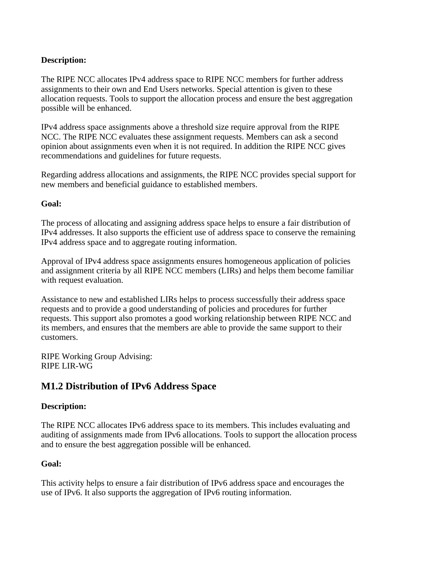#### **Description:**

The RIPE NCC allocates IPv4 address space to RIPE NCC members for further address assignments to their own and End Users networks. Special attention is given to these allocation requests. Tools to support the allocation process and ensure the best aggregation possible will be enhanced.

IPv4 address space assignments above a threshold size require approval from the RIPE NCC. The RIPE NCC evaluates these assignment requests. Members can ask a second opinion about assignments even when it is not required. In addition the RIPE NCC gives recommendations and guidelines for future requests.

Regarding address allocations and assignments, the RIPE NCC provides special support for new members and beneficial guidance to established members.

#### **Goal:**

The process of allocating and assigning address space helps to ensure a fair distribution of IPv4 addresses. It also supports the efficient use of address space to conserve the remaining IPv4 address space and to aggregate routing information.

Approval of IPv4 address space assignments ensures homogeneous application of policies and assignment criteria by all RIPE NCC members (LIRs) and helps them become familiar with request evaluation.

Assistance to new and established LIRs helps to process successfully their address space requests and to provide a good understanding of policies and procedures for further requests. This support also promotes a good working relationship between RIPE NCC and its members, and ensures that the members are able to provide the same support to their customers.

RIPE Working Group Advising: RIPE LIR-WG

### **M1.2 Distribution of IPv6 Address Space**

#### **Description:**

The RIPE NCC allocates IPv6 address space to its members. This includes evaluating and auditing of assignments made from IPv6 allocations. Tools to support the allocation process and to ensure the best aggregation possible will be enhanced.

#### **Goal:**

This activity helps to ensure a fair distribution of IPv6 address space and encourages the use of IPv6. It also supports the aggregation of IPv6 routing information.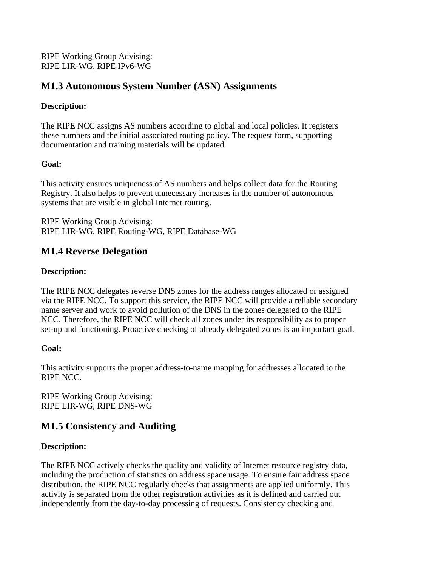RIPE Working Group Advising: RIPE LIR-WG, RIPE IPv6-WG

### **M1.3 Autonomous System Number (ASN) Assignments**

#### **Description:**

The RIPE NCC assigns AS numbers according to global and local policies. It registers these numbers and the initial associated routing policy. The request form, supporting documentation and training materials will be updated.

#### **Goal:**

This activity ensures uniqueness of AS numbers and helps collect data for the Routing Registry. It also helps to prevent unnecessary increases in the number of autonomous systems that are visible in global Internet routing.

RIPE Working Group Advising: RIPE LIR-WG, RIPE Routing-WG, RIPE Database-WG

### **M1.4 Reverse Delegation**

#### **Description:**

The RIPE NCC delegates reverse DNS zones for the address ranges allocated or assigned via the RIPE NCC. To support this service, the RIPE NCC will provide a reliable secondary name server and work to avoid pollution of the DNS in the zones delegated to the RIPE NCC. Therefore, the RIPE NCC will check all zones under its responsibility as to proper set-up and functioning. Proactive checking of already delegated zones is an important goal.

#### **Goal:**

This activity supports the proper address-to-name mapping for addresses allocated to the RIPE NCC.

RIPE Working Group Advising: RIPE LIR-WG, RIPE DNS-WG

### **M1.5 Consistency and Auditing**

#### **Description:**

The RIPE NCC actively checks the quality and validity of Internet resource registry data, including the production of statistics on address space usage. To ensure fair address space distribution, the RIPE NCC regularly checks that assignments are applied uniformly. This activity is separated from the other registration activities as it is defined and carried out independently from the day-to-day processing of requests. Consistency checking and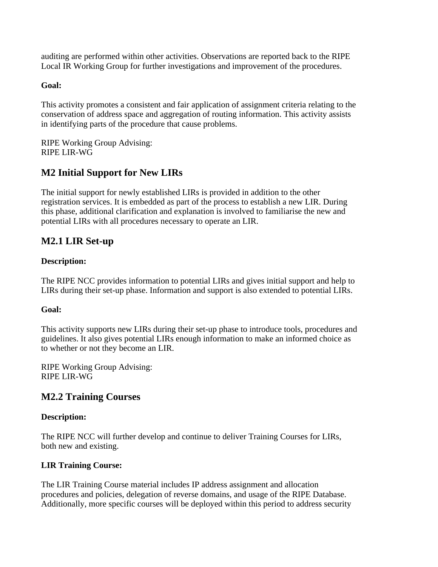auditing are performed within other activities. Observations are reported back to the RIPE Local IR Working Group for further investigations and improvement of the procedures.

#### **Goal:**

This activity promotes a consistent and fair application of assignment criteria relating to the conservation of address space and aggregation of routing information. This activity assists in identifying parts of the procedure that cause problems.

RIPE Working Group Advising: RIPE LIR-WG

## **M2 Initial Support for New LIRs**

The initial support for newly established LIRs is provided in addition to the other registration services. It is embedded as part of the process to establish a new LIR. During this phase, additional clarification and explanation is involved to familiarise the new and potential LIRs with all procedures necessary to operate an LIR.

### **M2.1 LIR Set-up**

#### **Description:**

The RIPE NCC provides information to potential LIRs and gives initial support and help to LIRs during their set-up phase. Information and support is also extended to potential LIRs.

#### **Goal:**

This activity supports new LIRs during their set-up phase to introduce tools, procedures and guidelines. It also gives potential LIRs enough information to make an informed choice as to whether or not they become an LIR.

RIPE Working Group Advising: RIPE LIR-WG

#### **M2.2 Training Courses**

#### **Description:**

The RIPE NCC will further develop and continue to deliver Training Courses for LIRs, both new and existing.

#### **LIR Training Course:**

The LIR Training Course material includes IP address assignment and allocation procedures and policies, delegation of reverse domains, and usage of the RIPE Database. Additionally, more specific courses will be deployed within this period to address security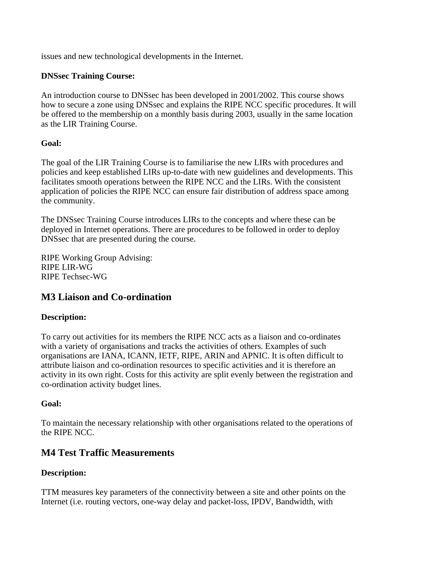issues and new technological developments in the Internet.

#### **DNSsec Training Course:**

An introduction course to DNSsec has been developed in 2001/2002. This course shows how to secure a zone using DNSsec and explains the RIPE NCC specific procedures. It will be offered to the membership on a monthly basis during 2003, usually in the same location as the LIR Training Course.

#### **Goal:**

The goal of the LIR Training Course is to familiarise the new LIRs with procedures and policies and keep established LIRs up-to-date with new guidelines and developments. This facilitates smooth operations between the RIPE NCC and the LIRs. With the consistent application of policies the RIPE NCC can ensure fair distribution of address space among the community.

The DNSsec Training Course introduces LIRs to the concepts and where these can be deployed in Internet operations. There are procedures to be followed in order to deploy DNSsec that are presented during the course.

RIPE Working Group Advising: RIPE LIR-WG RIPE Techsec-WG

### **M3 Liaison and Co-ordination**

#### **Description:**

To carry out activities for its members the RIPE NCC acts as a liaison and co-ordinates with a variety of organisations and tracks the activities of others. Examples of such organisations are IANA, ICANN, IETF, RIPE, ARIN and APNIC. It is often difficult to attribute liaison and co-ordination resources to specific activities and it is therefore an activity in its own right. Costs for this activity are split evenly between the registration and co-ordination activity budget lines.

#### **Goal:**

To maintain the necessary relationship with other organisations related to the operations of the RIPE NCC.

#### **M4 Test Traffic Measurements**

#### **Description:**

TTM measures key parameters of the connectivity between a site and other points on the Internet (i.e. routing vectors, one-way delay and packet-loss, IPDV, Bandwidth, with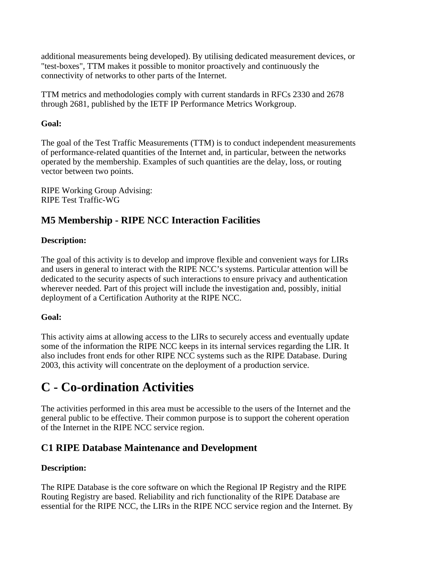additional measurements being developed). By utilising dedicated measurement devices, or "test-boxes", TTM makes it possible to monitor proactively and continuously the connectivity of networks to other parts of the Internet.

TTM metrics and methodologies comply with current standards in RFCs 2330 and 2678 through 2681, published by the IETF IP Performance Metrics Workgroup.

#### **Goal:**

The goal of the Test Traffic Measurements (TTM) is to conduct independent measurements of performance-related quantities of the Internet and, in particular, between the networks operated by the membership. Examples of such quantities are the delay, loss, or routing vector between two points.

RIPE Working Group Advising: RIPE Test Traffic-WG

## **M5 Membership - RIPE NCC Interaction Facilities**

#### **Description:**

The goal of this activity is to develop and improve flexible and convenient ways for LIRs and users in general to interact with the RIPE NCC's systems. Particular attention will be dedicated to the security aspects of such interactions to ensure privacy and authentication wherever needed. Part of this project will include the investigation and, possibly, initial deployment of a Certification Authority at the RIPE NCC.

#### **Goal:**

This activity aims at allowing access to the LIRs to securely access and eventually update some of the information the RIPE NCC keeps in its internal services regarding the LIR. It also includes front ends for other RIPE NCC systems such as the RIPE Database. During 2003, this activity will concentrate on the deployment of a production service.

## **C - Co-ordination Activities**

The activities performed in this area must be accessible to the users of the Internet and the general public to be effective. Their common purpose is to support the coherent operation of the Internet in the RIPE NCC service region.

### **C1 RIPE Database Maintenance and Development**

#### **Description:**

The RIPE Database is the core software on which the Regional IP Registry and the RIPE Routing Registry are based. Reliability and rich functionality of the RIPE Database are essential for the RIPE NCC, the LIRs in the RIPE NCC service region and the Internet. By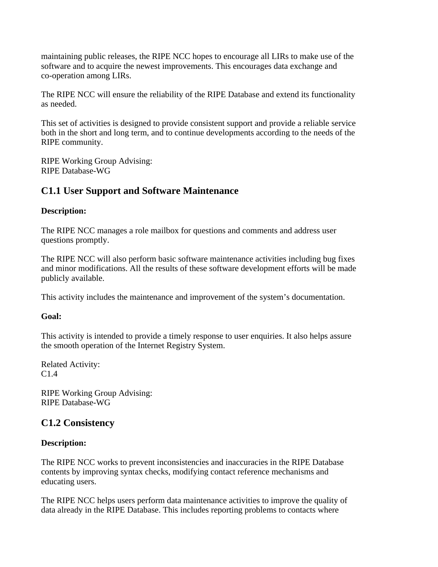maintaining public releases, the RIPE NCC hopes to encourage all LIRs to make use of the software and to acquire the newest improvements. This encourages data exchange and co-operation among LIRs.

The RIPE NCC will ensure the reliability of the RIPE Database and extend its functionality as needed.

This set of activities is designed to provide consistent support and provide a reliable service both in the short and long term, and to continue developments according to the needs of the RIPE community.

RIPE Working Group Advising: RIPE Database-WG

### **C1.1 User Support and Software Maintenance**

#### **Description:**

The RIPE NCC manages a role mailbox for questions and comments and address user questions promptly.

The RIPE NCC will also perform basic software maintenance activities including bug fixes and minor modifications. All the results of these software development efforts will be made publicly available.

This activity includes the maintenance and improvement of the system's documentation.

#### **Goal:**

This activity is intended to provide a timely response to user enquiries. It also helps assure the smooth operation of the Internet Registry System.

Related Activity: C1.4

RIPE Working Group Advising: RIPE Database-WG

#### **C1.2 Consistency**

#### **Description:**

The RIPE NCC works to prevent inconsistencies and inaccuracies in the RIPE Database contents by improving syntax checks, modifying contact reference mechanisms and educating users.

The RIPE NCC helps users perform data maintenance activities to improve the quality of data already in the RIPE Database. This includes reporting problems to contacts where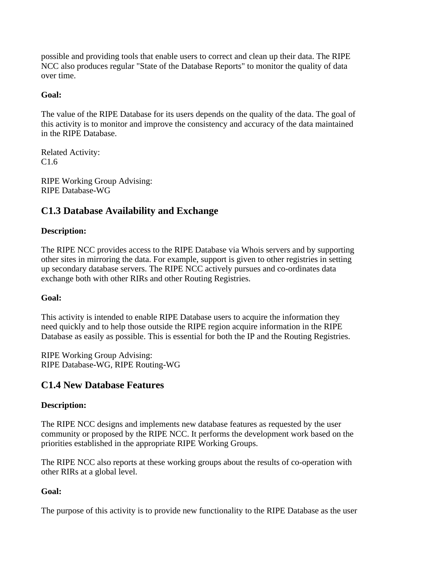possible and providing tools that enable users to correct and clean up their data. The RIPE NCC also produces regular "State of the Database Reports" to monitor the quality of data over time.

#### **Goal:**

The value of the RIPE Database for its users depends on the quality of the data. The goal of this activity is to monitor and improve the consistency and accuracy of the data maintained in the RIPE Database.

Related Activity: C1.6

RIPE Working Group Advising: RIPE Database-WG

## **C1.3 Database Availability and Exchange**

#### **Description:**

The RIPE NCC provides access to the RIPE Database via Whois servers and by supporting other sites in mirroring the data. For example, support is given to other registries in setting up secondary database servers. The RIPE NCC actively pursues and co-ordinates data exchange both with other RIRs and other Routing Registries.

#### **Goal:**

This activity is intended to enable RIPE Database users to acquire the information they need quickly and to help those outside the RIPE region acquire information in the RIPE Database as easily as possible. This is essential for both the IP and the Routing Registries.

RIPE Working Group Advising: RIPE Database-WG, RIPE Routing-WG

### **C1.4 New Database Features**

#### **Description:**

The RIPE NCC designs and implements new database features as requested by the user community or proposed by the RIPE NCC. It performs the development work based on the priorities established in the appropriate RIPE Working Groups.

The RIPE NCC also reports at these working groups about the results of co-operation with other RIRs at a global level.

#### **Goal:**

The purpose of this activity is to provide new functionality to the RIPE Database as the user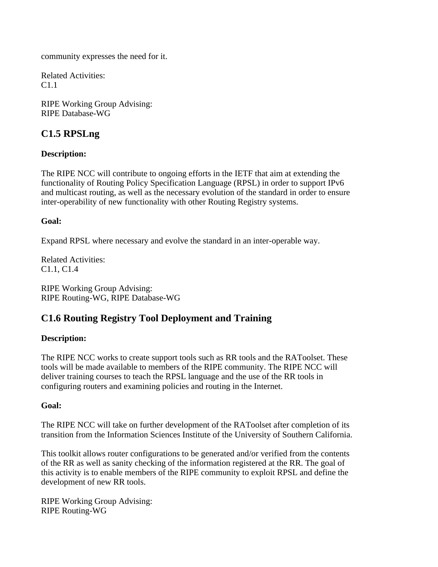community expresses the need for it.

Related Activities: C1.1

RIPE Working Group Advising: RIPE Database-WG

## **C1.5 RPSLng**

#### **Description:**

The RIPE NCC will contribute to ongoing efforts in the IETF that aim at extending the functionality of Routing Policy Specification Language (RPSL) in order to support IPv6 and multicast routing, as well as the necessary evolution of the standard in order to ensure inter-operability of new functionality with other Routing Registry systems.

#### **Goal:**

Expand RPSL where necessary and evolve the standard in an inter-operable way.

Related Activities: C1.1, C1.4

RIPE Working Group Advising: RIPE Routing-WG, RIPE Database-WG

## **C1.6 Routing Registry Tool Deployment and Training**

#### **Description:**

The RIPE NCC works to create support tools such as RR tools and the RAToolset. These tools will be made available to members of the RIPE community. The RIPE NCC will deliver training courses to teach the RPSL language and the use of the RR tools in configuring routers and examining policies and routing in the Internet.

#### **Goal:**

The RIPE NCC will take on further development of the RAToolset after completion of its transition from the Information Sciences Institute of the University of Southern California.

This toolkit allows router configurations to be generated and/or verified from the contents of the RR as well as sanity checking of the information registered at the RR. The goal of this activity is to enable members of the RIPE community to exploit RPSL and define the development of new RR tools.

RIPE Working Group Advising: RIPE Routing-WG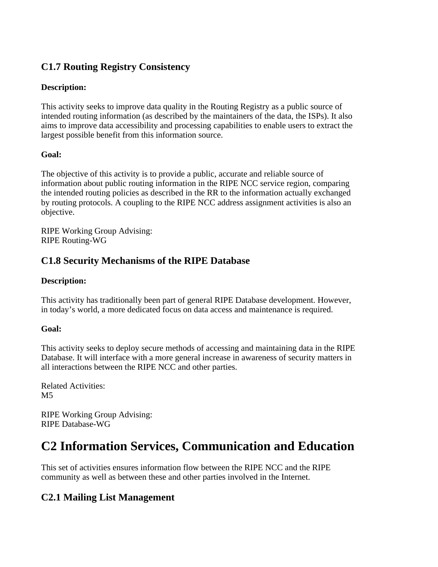## **C1.7 Routing Registry Consistency**

#### **Description:**

This activity seeks to improve data quality in the Routing Registry as a public source of intended routing information (as described by the maintainers of the data, the ISPs). It also aims to improve data accessibility and processing capabilities to enable users to extract the largest possible benefit from this information source.

#### **Goal:**

The objective of this activity is to provide a public, accurate and reliable source of information about public routing information in the RIPE NCC service region, comparing the intended routing policies as described in the RR to the information actually exchanged by routing protocols. A coupling to the RIPE NCC address assignment activities is also an objective.

RIPE Working Group Advising: RIPE Routing-WG

### **C1.8 Security Mechanisms of the RIPE Database**

#### **Description:**

This activity has traditionally been part of general RIPE Database development. However, in today's world, a more dedicated focus on data access and maintenance is required.

#### **Goal:**

This activity seeks to deploy secure methods of accessing and maintaining data in the RIPE Database. It will interface with a more general increase in awareness of security matters in all interactions between the RIPE NCC and other parties.

Related Activities:  $M<sub>5</sub>$ 

RIPE Working Group Advising: RIPE Database-WG

## **C2 Information Services, Communication and Education**

This set of activities ensures information flow between the RIPE NCC and the RIPE community as well as between these and other parties involved in the Internet.

### **C2.1 Mailing List Management**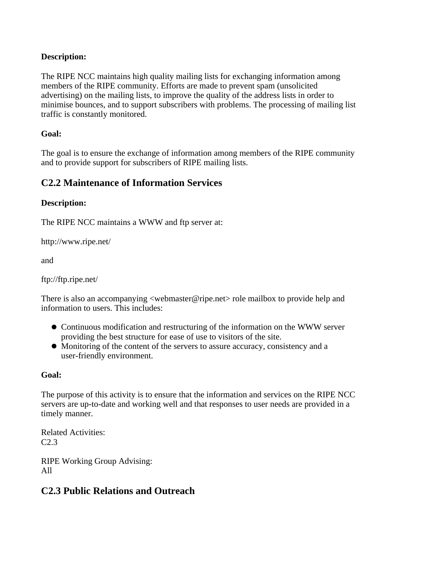#### **Description:**

The RIPE NCC maintains high quality mailing lists for exchanging information among members of the RIPE community. Efforts are made to prevent spam (unsolicited advertising) on the mailing lists, to improve the quality of the address lists in order to minimise bounces, and to support subscribers with problems. The processing of mailing list traffic is constantly monitored.

#### **Goal:**

The goal is to ensure the exchange of information among members of the RIPE community and to provide support for subscribers of RIPE mailing lists.

### **C2.2 Maintenance of Information Services**

#### **Description:**

The RIPE NCC maintains a WWW and ftp server at:

http://www.ripe.net/

and

ftp://ftp.ripe.net/

There is also an accompanying <webmaster@ripe.net> role mailbox to provide help and information to users. This includes:

- Continuous modification and restructuring of the information on the WWW server providing the best structure for ease of use to visitors of the site.
- Monitoring of the content of the servers to assure accuracy, consistency and a user-friendly environment.

#### **Goal:**

The purpose of this activity is to ensure that the information and services on the RIPE NCC servers are up-to-date and working well and that responses to user needs are provided in a timely manner.

Related Activities: C2.3

RIPE Working Group Advising: All

### **C2.3 Public Relations and Outreach**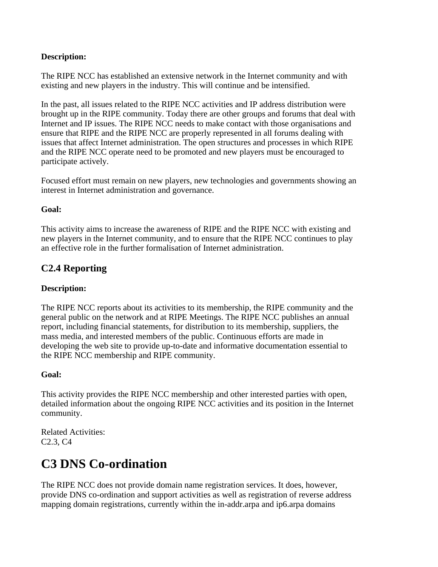#### **Description:**

The RIPE NCC has established an extensive network in the Internet community and with existing and new players in the industry. This will continue and be intensified.

In the past, all issues related to the RIPE NCC activities and IP address distribution were brought up in the RIPE community. Today there are other groups and forums that deal with Internet and IP issues. The RIPE NCC needs to make contact with those organisations and ensure that RIPE and the RIPE NCC are properly represented in all forums dealing with issues that affect Internet administration. The open structures and processes in which RIPE and the RIPE NCC operate need to be promoted and new players must be encouraged to participate actively.

Focused effort must remain on new players, new technologies and governments showing an interest in Internet administration and governance.

#### **Goal:**

This activity aims to increase the awareness of RIPE and the RIPE NCC with existing and new players in the Internet community, and to ensure that the RIPE NCC continues to play an effective role in the further formalisation of Internet administration.

### **C2.4 Reporting**

#### **Description:**

The RIPE NCC reports about its activities to its membership, the RIPE community and the general public on the network and at RIPE Meetings. The RIPE NCC publishes an annual report, including financial statements, for distribution to its membership, suppliers, the mass media, and interested members of the public. Continuous efforts are made in developing the web site to provide up-to-date and informative documentation essential to the RIPE NCC membership and RIPE community.

#### **Goal:**

This activity provides the RIPE NCC membership and other interested parties with open, detailed information about the ongoing RIPE NCC activities and its position in the Internet community.

Related Activities: C2.3, C4

## **C3 DNS Co-ordination**

The RIPE NCC does not provide domain name registration services. It does, however, provide DNS co-ordination and support activities as well as registration of reverse address mapping domain registrations, currently within the in-addr.arpa and ip6.arpa domains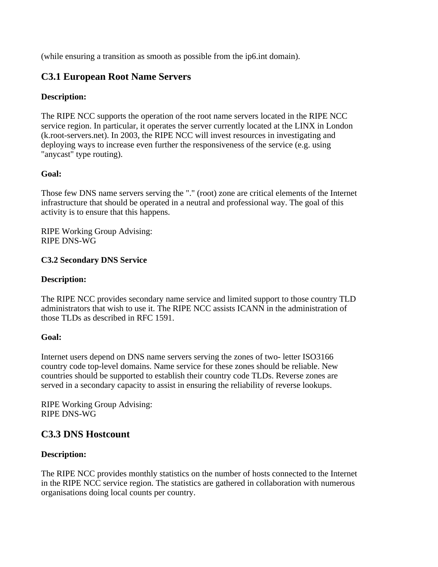(while ensuring a transition as smooth as possible from the ip6.int domain).

### **C3.1 European Root Name Servers**

#### **Description:**

The RIPE NCC supports the operation of the root name servers located in the RIPE NCC service region. In particular, it operates the server currently located at the LINX in London (k.root-servers.net). In 2003, the RIPE NCC will invest resources in investigating and deploying ways to increase even further the responsiveness of the service (e.g. using "anycast" type routing).

#### **Goal:**

Those few DNS name servers serving the "." (root) zone are critical elements of the Internet infrastructure that should be operated in a neutral and professional way. The goal of this activity is to ensure that this happens.

RIPE Working Group Advising: RIPE DNS-WG

#### **C3.2 Secondary DNS Service**

#### **Description:**

The RIPE NCC provides secondary name service and limited support to those country TLD administrators that wish to use it. The RIPE NCC assists ICANN in the administration of those TLDs as described in RFC 1591.

#### **Goal:**

Internet users depend on DNS name servers serving the zones of two- letter ISO3166 country code top-level domains. Name service for these zones should be reliable. New countries should be supported to establish their country code TLDs. Reverse zones are served in a secondary capacity to assist in ensuring the reliability of reverse lookups.

RIPE Working Group Advising: RIPE DNS-WG

### **C3.3 DNS Hostcount**

#### **Description:**

The RIPE NCC provides monthly statistics on the number of hosts connected to the Internet in the RIPE NCC service region. The statistics are gathered in collaboration with numerous organisations doing local counts per country.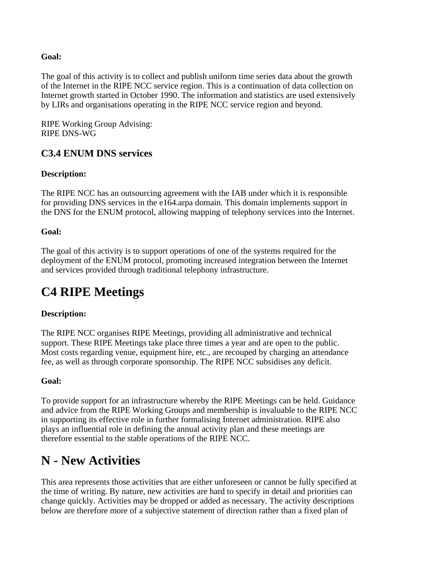#### **Goal:**

The goal of this activity is to collect and publish uniform time series data about the growth of the Internet in the RIPE NCC service region. This is a continuation of data collection on Internet growth started in October 1990. The information and statistics are used extensively by LIRs and organisations operating in the RIPE NCC service region and beyond.

RIPE Working Group Advising: RIPE DNS-WG

### **C3.4 ENUM DNS services**

#### **Description:**

The RIPE NCC has an outsourcing agreement with the IAB under which it is responsible for providing DNS services in the e164.arpa domain. This domain implements support in the DNS for the ENUM protocol, allowing mapping of telephony services into the Internet.

#### **Goal:**

The goal of this activity is to support operations of one of the systems required for the deployment of the ENUM protocol, promoting increased integration between the Internet and services provided through traditional telephony infrastructure.

## **C4 RIPE Meetings**

#### **Description:**

The RIPE NCC organises RIPE Meetings, providing all administrative and technical support. These RIPE Meetings take place three times a year and are open to the public. Most costs regarding venue, equipment hire, etc., are recouped by charging an attendance fee, as well as through corporate sponsorship. The RIPE NCC subsidises any deficit.

#### **Goal:**

To provide support for an infrastructure whereby the RIPE Meetings can be held. Guidance and advice from the RIPE Working Groups and membership is invaluable to the RIPE NCC in supporting its effective role in further formalising Internet administration. RIPE also plays an influential role in defining the annual activity plan and these meetings are therefore essential to the stable operations of the RIPE NCC.

## **N - New Activities**

This area represents those activities that are either unforeseen or cannot be fully specified at the time of writing. By nature, new activities are hard to specify in detail and priorities can change quickly. Activities may be dropped or added as necessary. The activity descriptions below are therefore more of a subjective statement of direction rather than a fixed plan of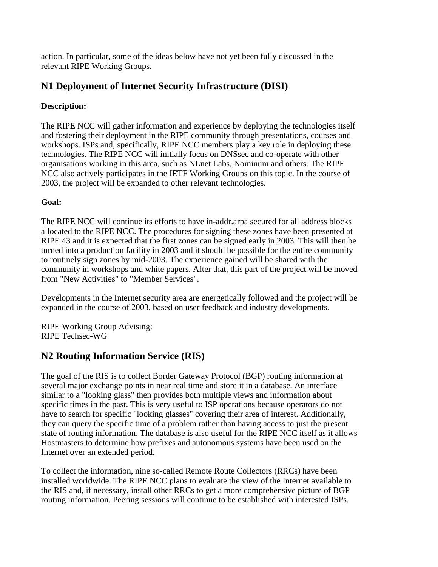action. In particular, some of the ideas below have not yet been fully discussed in the relevant RIPE Working Groups.

## **N1 Deployment of Internet Security Infrastructure (DISI)**

#### **Description:**

The RIPE NCC will gather information and experience by deploying the technologies itself and fostering their deployment in the RIPE community through presentations, courses and workshops. ISPs and, specifically, RIPE NCC members play a key role in deploying these technologies. The RIPE NCC will initially focus on DNSsec and co-operate with other organisations working in this area, such as NLnet Labs, Nominum and others. The RIPE NCC also actively participates in the IETF Working Groups on this topic. In the course of 2003, the project will be expanded to other relevant technologies.

#### **Goal:**

The RIPE NCC will continue its efforts to have in-addr.arpa secured for all address blocks allocated to the RIPE NCC. The procedures for signing these zones have been presented at RIPE 43 and it is expected that the first zones can be signed early in 2003. This will then be turned into a production facility in 2003 and it should be possible for the entire community to routinely sign zones by mid-2003. The experience gained will be shared with the community in workshops and white papers. After that, this part of the project will be moved from "New Activities" to "Member Services".

Developments in the Internet security area are energetically followed and the project will be expanded in the course of 2003, based on user feedback and industry developments.

RIPE Working Group Advising: RIPE Techsec-WG

## **N2 Routing Information Service (RIS)**

The goal of the RIS is to collect Border Gateway Protocol (BGP) routing information at several major exchange points in near real time and store it in a database. An interface similar to a "looking glass" then provides both multiple views and information about specific times in the past. This is very useful to ISP operations because operators do not have to search for specific "looking glasses" covering their area of interest. Additionally, they can query the specific time of a problem rather than having access to just the present state of routing information. The database is also useful for the RIPE NCC itself as it allows Hostmasters to determine how prefixes and autonomous systems have been used on the Internet over an extended period.

To collect the information, nine so-called Remote Route Collectors (RRCs) have been installed worldwide. The RIPE NCC plans to evaluate the view of the Internet available to the RIS and, if necessary, install other RRCs to get a more comprehensive picture of BGP routing information. Peering sessions will continue to be established with interested ISPs.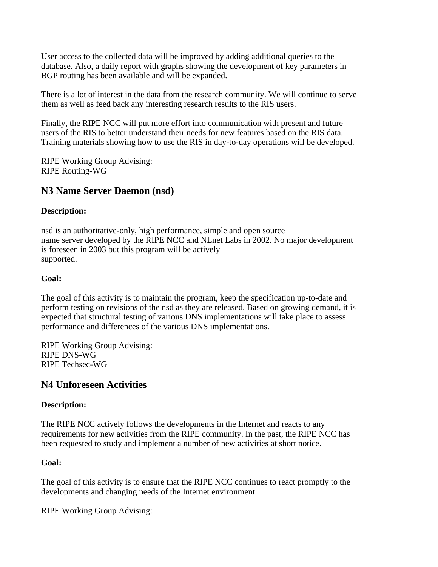User access to the collected data will be improved by adding additional queries to the database. Also, a daily report with graphs showing the development of key parameters in BGP routing has been available and will be expanded.

There is a lot of interest in the data from the research community. We will continue to serve them as well as feed back any interesting research results to the RIS users.

Finally, the RIPE NCC will put more effort into communication with present and future users of the RIS to better understand their needs for new features based on the RIS data. Training materials showing how to use the RIS in day-to-day operations will be developed.

RIPE Working Group Advising: RIPE Routing-WG

#### **N3 Name Server Daemon (nsd)**

#### **Description:**

nsd is an authoritative-only, high performance, simple and open source name server developed by the RIPE NCC and NLnet Labs in 2002. No major development is foreseen in 2003 but this program will be actively supported.

#### **Goal:**

The goal of this activity is to maintain the program, keep the specification up-to-date and perform testing on revisions of the nsd as they are released. Based on growing demand, it is expected that structural testing of various DNS implementations will take place to assess performance and differences of the various DNS implementations.

RIPE Working Group Advising: RIPE DNS-WG RIPE Techsec-WG

#### **N4 Unforeseen Activities**

#### **Description:**

The RIPE NCC actively follows the developments in the Internet and reacts to any requirements for new activities from the RIPE community. In the past, the RIPE NCC has been requested to study and implement a number of new activities at short notice.

#### **Goal:**

The goal of this activity is to ensure that the RIPE NCC continues to react promptly to the developments and changing needs of the Internet environment.

RIPE Working Group Advising: